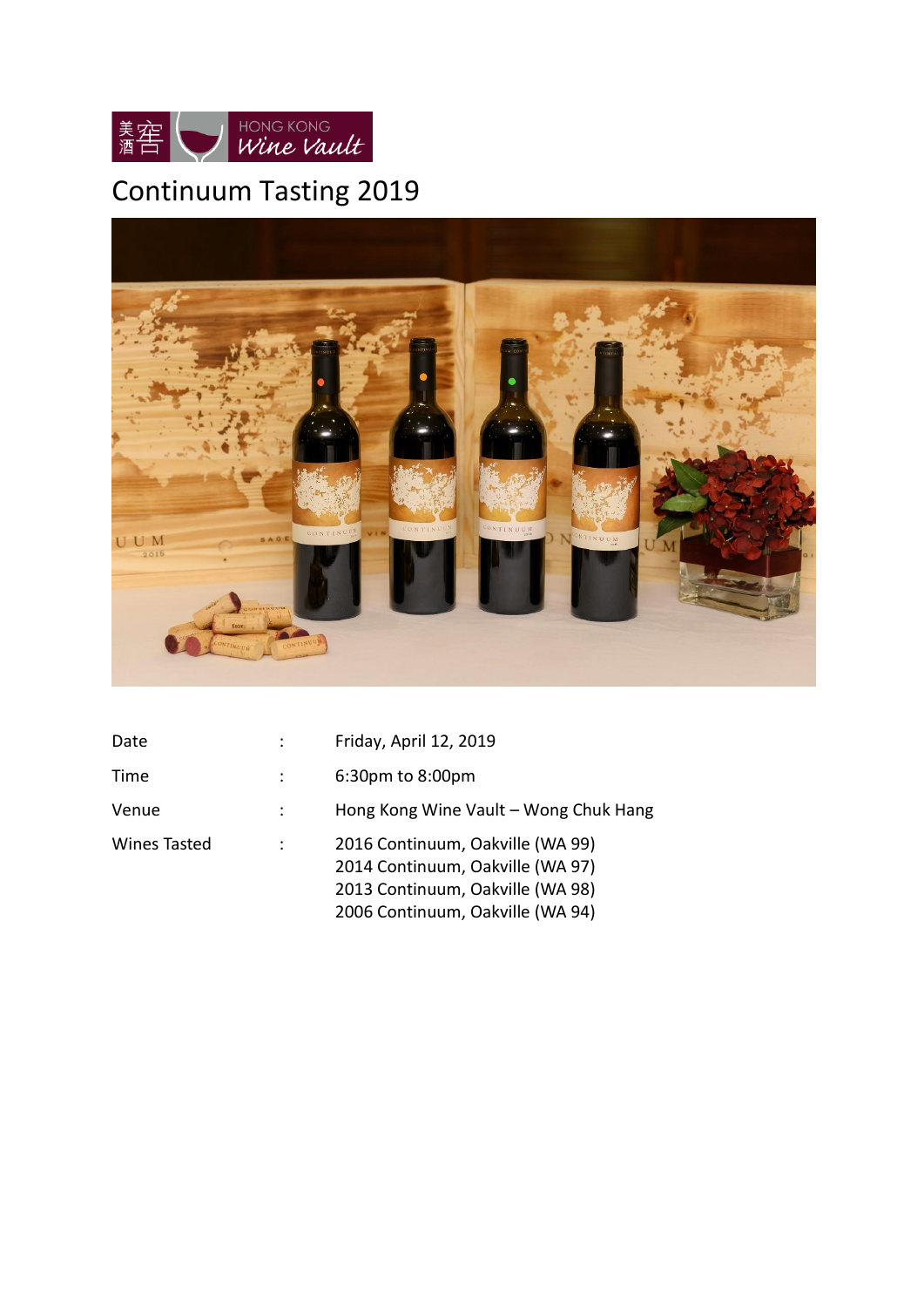

# Continuum Tasting 2019



| Date         | Friday, April 12, 2019                                                                                                                       |
|--------------|----------------------------------------------------------------------------------------------------------------------------------------------|
| Time         | 6:30pm to 8:00pm                                                                                                                             |
| Venue        | Hong Kong Wine Vault - Wong Chuk Hang                                                                                                        |
| Wines Tasted | 2016 Continuum, Oakville (WA 99)<br>2014 Continuum, Oakville (WA 97)<br>2013 Continuum, Oakville (WA 98)<br>2006 Continuum, Oakville (WA 94) |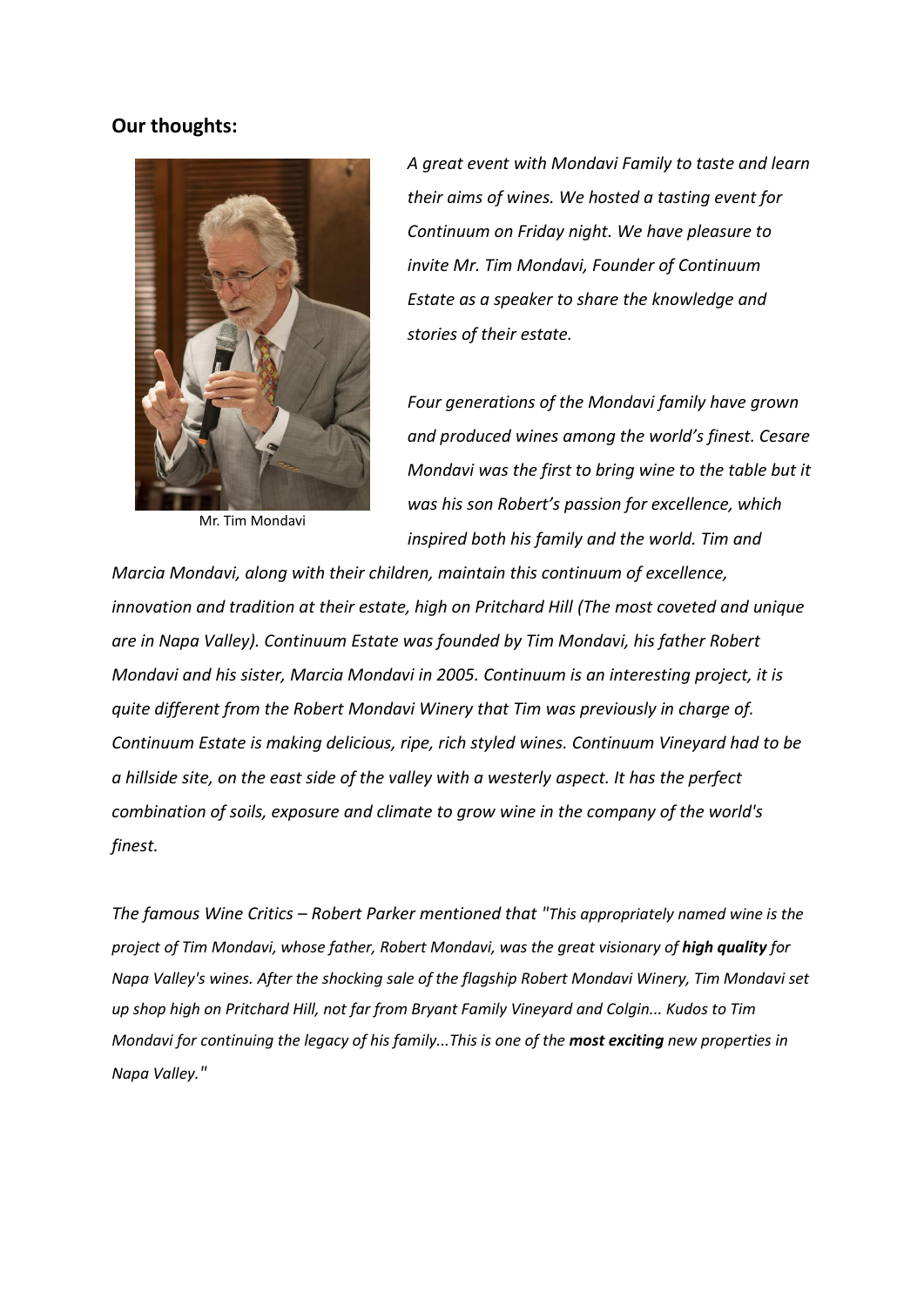## **Our thoughts:**



Mr. Tim Mondavi

*A great event with Mondavi Family to taste and learn their aims of wines. We hosted a tasting event for Continuum on Friday night. We have pleasure to invite Mr. Tim Mondavi, Founder of Continuum Estate as a speaker to share the knowledge and stories of their estate.*

*Four generations of the Mondavi family have grown and produced wines among the world's finest. Cesare Mondavi was the first to bring wine to the table but it was his son Robert's passion for excellence, which inspired both his family and the world. Tim and* 

*Marcia Mondavi, along with their children, maintain this continuum of excellence, innovation and tradition at their estate, high on Pritchard Hill (The most coveted and unique are in Napa Valley). Continuum Estate was founded by Tim Mondavi, his father Robert Mondavi and his sister, Marcia Mondavi in 2005. Continuum is an interesting project, it is quite different from the Robert Mondavi Winery that Tim was previously in charge of. Continuum Estate is making delicious, ripe, rich styled wines. Continuum Vineyard had to be a hillside site, on the east side of the valley with a westerly aspect. It has the perfect combination of soils, exposure and climate to grow wine in the company of the world's finest.*

*The famous Wine Critics – Robert Parker mentioned that "This appropriately named wine is the project of Tim Mondavi, whose father, Robert Mondavi, was the areat visionary of high quality for Napa Valley's wines. After the shocking sale of the flagship Robert Mondavi Winery, Tim Mondavi set up shop high on Pritchard Hill, not far from Bryant Family Vineyard and Colgin... Kudos to Tim Mondavi for continuing the legacy of his family...This is one of the most exciting new properties in Napa Valley."*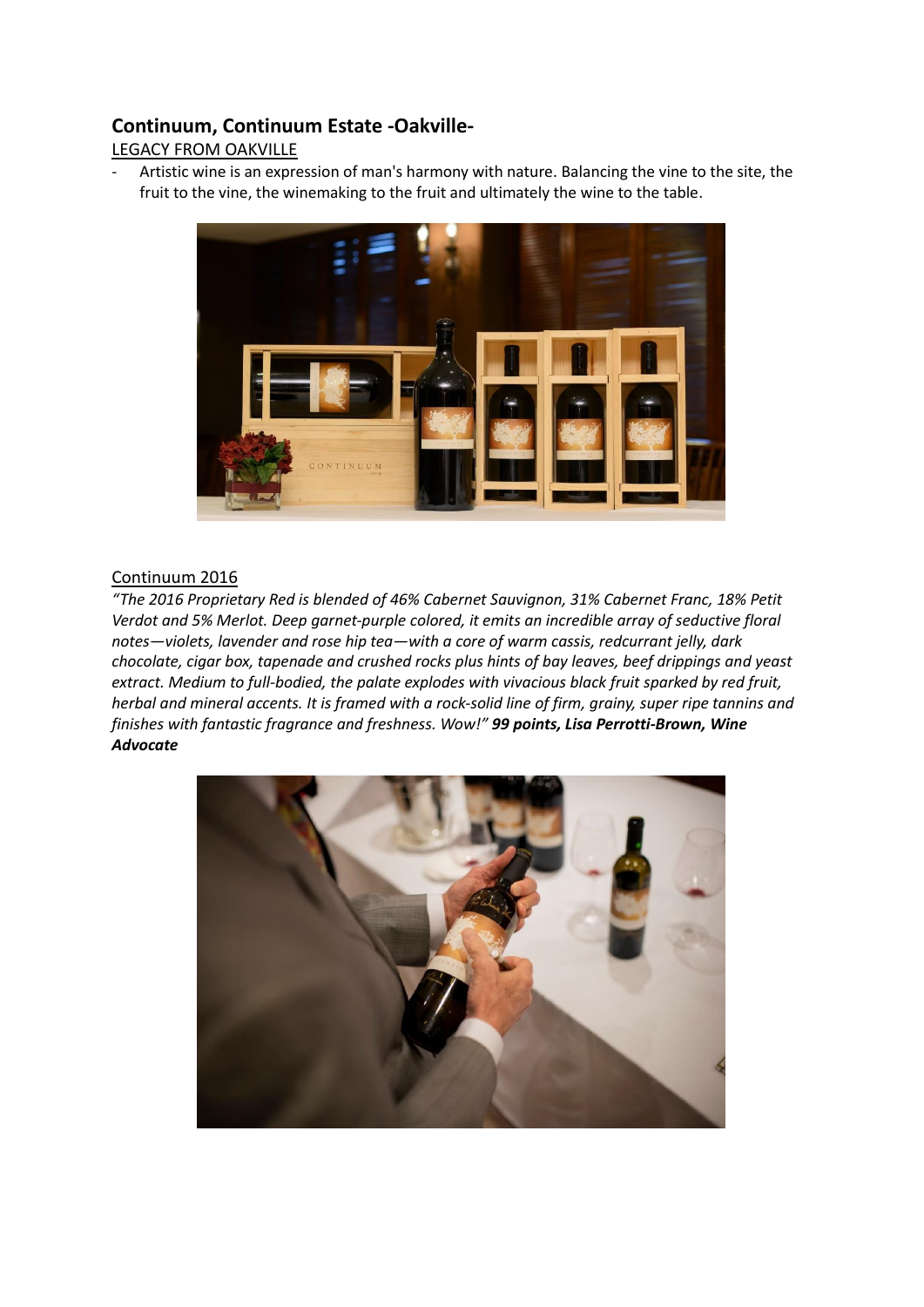## **Continuum, Continuum Estate -Oakville-**

## LEGACY FROM OAKVILLE

Artistic wine is an expression of man's harmony with nature. Balancing the vine to the site, the fruit to the vine, the winemaking to the fruit and ultimately the wine to the table.



## Continuum 2016

*"The 2016 Proprietary Red is blended of 46% Cabernet Sauvignon, 31% Cabernet Franc, 18% Petit Verdot and 5% Merlot. Deep garnet-purple colored, it emits an incredible array of seductive floral notes—violets, lavender and rose hip tea—with a core of warm cassis, redcurrant jelly, dark chocolate, cigar box, tapenade and crushed rocks plus hints of bay leaves, beef drippings and yeast extract. Medium to full-bodied, the palate explodes with vivacious black fruit sparked by red fruit, herbal and mineral accents. It is framed with a rock-solid line of firm, grainy, super ripe tannins and finishes with fantastic fragrance and freshness. Wow!" 99 points, Lisa Perrotti-Brown, Wine Advocate*

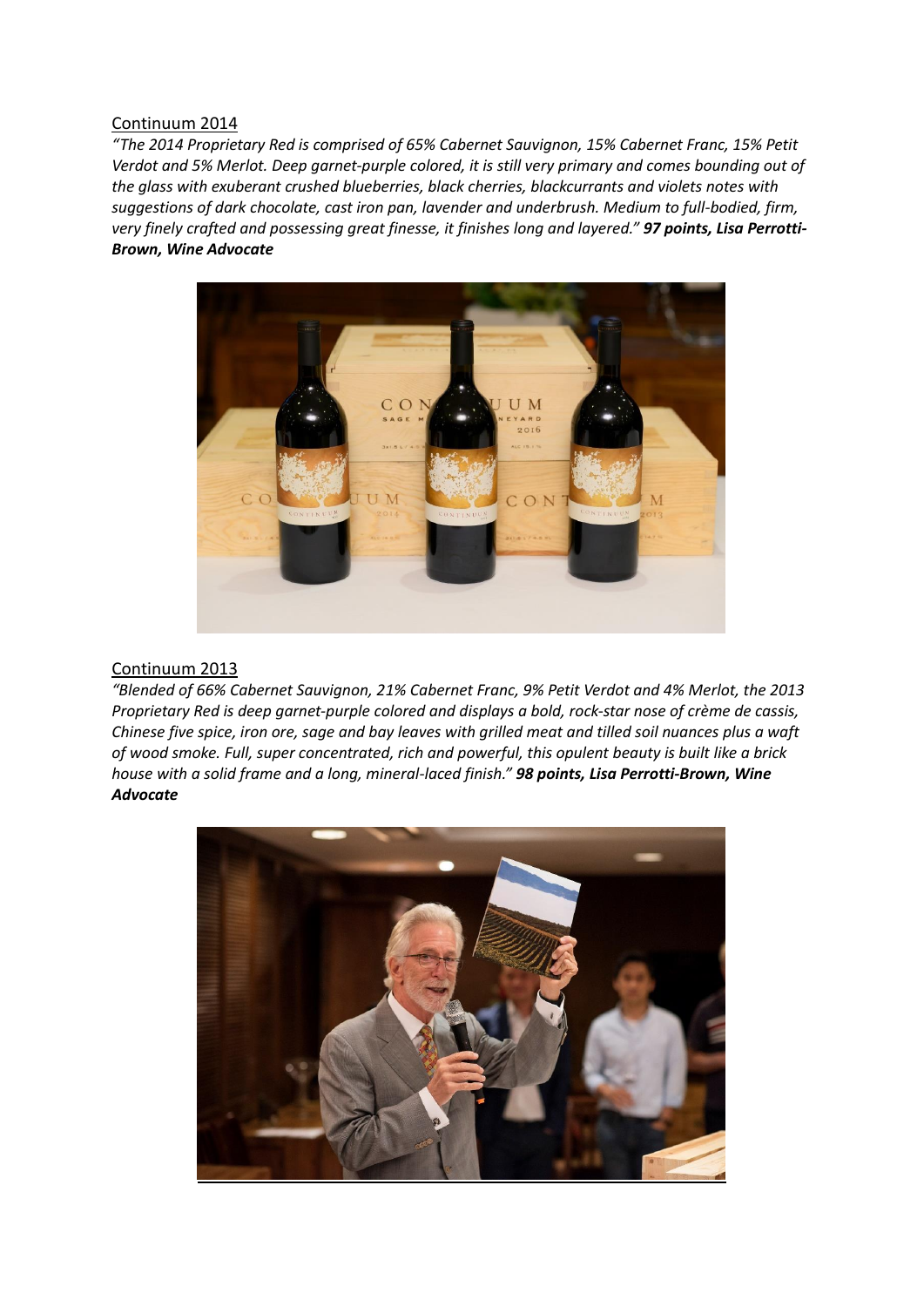#### Continuum 2014

*"The 2014 Proprietary Red is comprised of 65% Cabernet Sauvignon, 15% Cabernet Franc, 15% Petit Verdot and 5% Merlot. Deep garnet-purple colored, it is still very primary and comes bounding out of the glass with exuberant crushed blueberries, black cherries, blackcurrants and violets notes with suggestions of dark chocolate, cast iron pan, lavender and underbrush. Medium to full-bodied, firm, very finely crafted and possessing great finesse, it finishes long and layered." 97 points, Lisa Perrotti-Brown, Wine Advocate*



#### Continuum 2013

*"Blended of 66% Cabernet Sauvignon, 21% Cabernet Franc, 9% Petit Verdot and 4% Merlot, the 2013 Proprietary Red is deep garnet-purple colored and displays a bold, rock-star nose of crème de cassis, Chinese five spice, iron ore, sage and bay leaves with grilled meat and tilled soil nuances plus a waft of wood smoke. Full, super concentrated, rich and powerful, this opulent beauty is built like a brick house with a solid frame and a long, mineral-laced finish." 98 points, Lisa Perrotti-Brown, Wine Advocate*